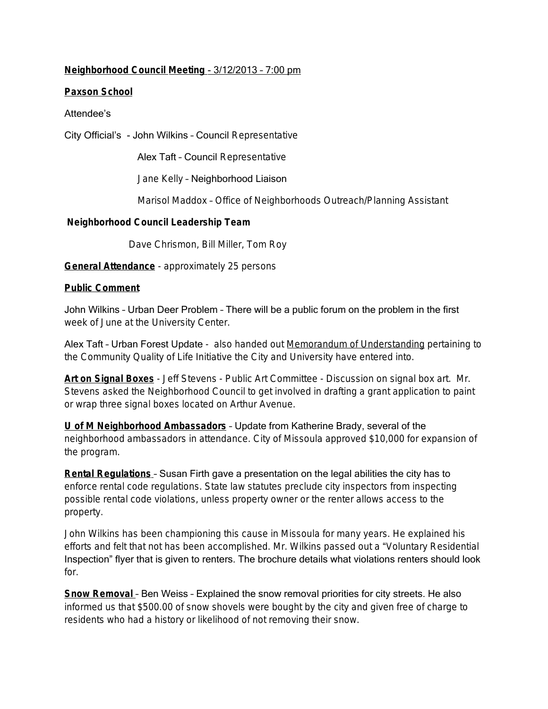# **Neighborhood Council Meeting** - 3/12/2013 – 7:00 pm

## **Paxson School**

## Attendee's

City Official's - John Wilkins – Council Representative

Alex Taft – Council Representative

Jane Kelly – Neighborhood Liaison

Marisol Maddox – Office of Neighborhoods Outreach/Planning Assistant

#### **Neighborhood Council Leadership Team**

Dave Chrismon, Bill Miller, Tom Roy

**General Attendance** - approximately 25 persons

#### **Public Comment**

John Wilkins – Urban Deer Problem – There will be a public forum on the problem in the first week of June at the University Center.

Alex Taft - Urban Forest Update - also handed out Memorandum of Understanding pertaining to the Community Quality of Life Initiative the City and University have entered into.

**Art on Signal Boxes** - Jeff Stevens - Public Art Committee - Discussion on signal box art. Mr. Stevens asked the Neighborhood Council to get involved in drafting a grant application to paint or wrap three signal boxes located on Arthur Avenue.

**U of M Neighborhood Ambassadors** – Update from Katherine Brady, several of the neighborhood ambassadors in attendance. City of Missoula approved \$10,000 for expansion of the program.

**Rental Regulations** – Susan Firth gave a presentation on the legal abilities the city has to enforce rental code regulations. State law statutes preclude city inspectors from inspecting possible rental code violations, unless property owner or the renter allows access to the property.

John Wilkins has been championing this cause in Missoula for many years. He explained his efforts and felt that not has been accomplished. Mr. Wilkins passed out a "Voluntary Residential Inspection" flyer that is given to renters. The brochure details what violations renters should look for.

**Snow Removal** – Ben Weiss – Explained the snow removal priorities for city streets. He also informed us that \$500.00 of snow shovels were bought by the city and given free of charge to residents who had a history or likelihood of not removing their snow.